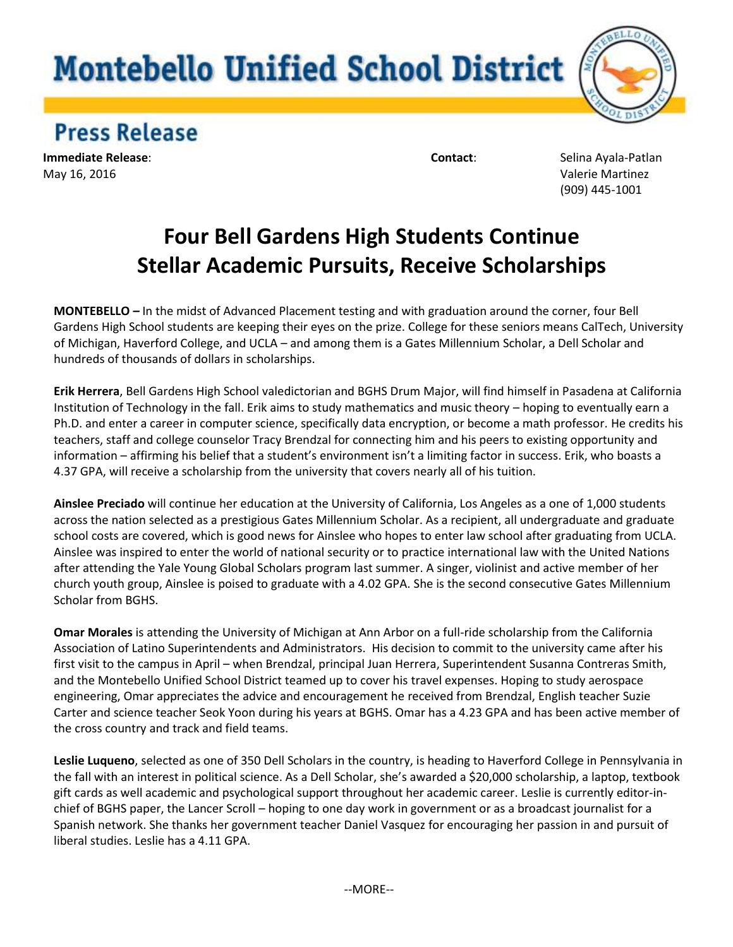## **Montebello Unified School District**



## **Press Release**

**Immediate Release**: **Contact**: Selina Ayala-Patlan May 16, 2016 Valerie Martinez

(909) 445-1001

## **Four Bell Gardens High Students Continue Stellar Academic Pursuits, Receive Scholarships**

**MONTEBELLO** *–* In the midst of Advanced Placement testing and with graduation around the corner, four Bell Gardens High School students are keeping their eyes on the prize. College for these seniors means CalTech, University of Michigan, Haverford College, and UCLA – and among them is a Gates Millennium Scholar, a Dell Scholar and hundreds of thousands of dollars in scholarships.

**Erik Herrera**, Bell Gardens High School valedictorian and BGHS Drum Major, will find himself in Pasadena at California Institution of Technology in the fall. Erik aims to study mathematics and music theory – hoping to eventually earn a Ph.D. and enter a career in computer science, specifically data encryption, or become a math professor. He credits his teachers, staff and college counselor Tracy Brendzal for connecting him and his peers to existing opportunity and information – affirming his belief that a student's environment isn't a limiting factor in success. Erik, who boasts a 4.37 GPA, will receive a scholarship from the university that covers nearly all of his tuition.

**Ainslee Preciado** will continue her education at the University of California, Los Angeles as a one of 1,000 students across the nation selected as a prestigious Gates Millennium Scholar. As a recipient, all undergraduate and graduate school costs are covered, which is good news for Ainslee who hopes to enter law school after graduating from UCLA. Ainslee was inspired to enter the world of national security or to practice international law with the United Nations after attending the Yale Young Global Scholars program last summer. A singer, violinist and active member of her church youth group, Ainslee is poised to graduate with a 4.02 GPA. She is the second consecutive Gates Millennium Scholar from BGHS.

**Omar Morales** is attending the University of Michigan at Ann Arbor on a full-ride scholarship from the California Association of Latino Superintendents and Administrators. His decision to commit to the university came after his first visit to the campus in April – when Brendzal, principal Juan Herrera, Superintendent Susanna Contreras Smith, and the Montebello Unified School District teamed up to cover his travel expenses. Hoping to study aerospace engineering, Omar appreciates the advice and encouragement he received from Brendzal, English teacher Suzie Carter and science teacher Seok Yoon during his years at BGHS. Omar has a 4.23 GPA and has been active member of the cross country and track and field teams.

**Leslie Luqueno**, selected as one of 350 Dell Scholars in the country, is heading to Haverford College in Pennsylvania in the fall with an interest in political science. As a Dell Scholar, she's awarded a \$20,000 scholarship, a laptop, textbook gift cards as well academic and psychological support throughout her academic career. Leslie is currently editor-inchief of BGHS paper, the Lancer Scroll – hoping to one day work in government or as a broadcast journalist for a Spanish network. She thanks her government teacher Daniel Vasquez for encouraging her passion in and pursuit of liberal studies. Leslie has a 4.11 GPA.